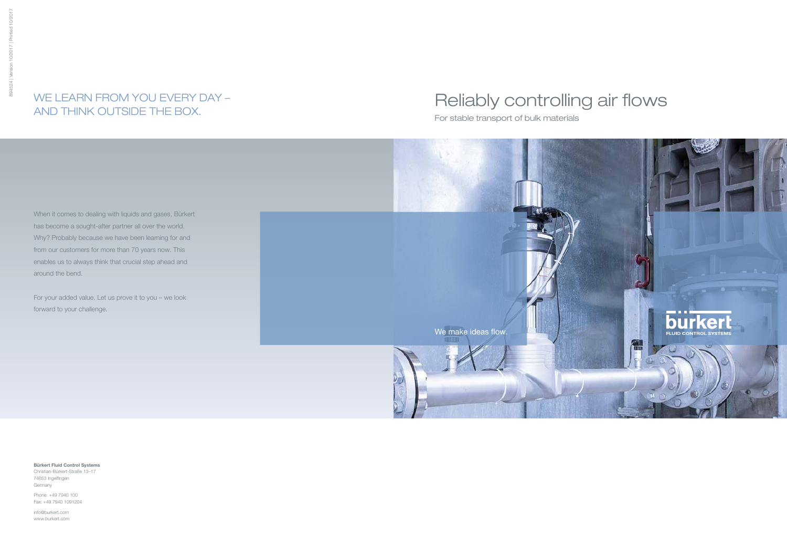# Reliably controlling air flows

For stable transport of bulk materials



When it comes to dealing with liquids and gases, Bürkert has become a sought-after partner all over the world. Why? Probably because we have been learning for and from our customers for more than 70 years now. This enables us to always think that crucial step ahead and around the bend.

For your added value. Let us prove it to you – we look forward to your challenge.

## WE LEARN FROM YOU EVERY DAY – AND THINK OUTSIDE THE BOX.

Bürkert Fluid Control Systems Christian-Bürkert-Straße 13–17 74653 Ingelfingen Germany

Phone: +49 7940 100 Fax: +49 7940 1091204

info@burkert.com www.burkert.com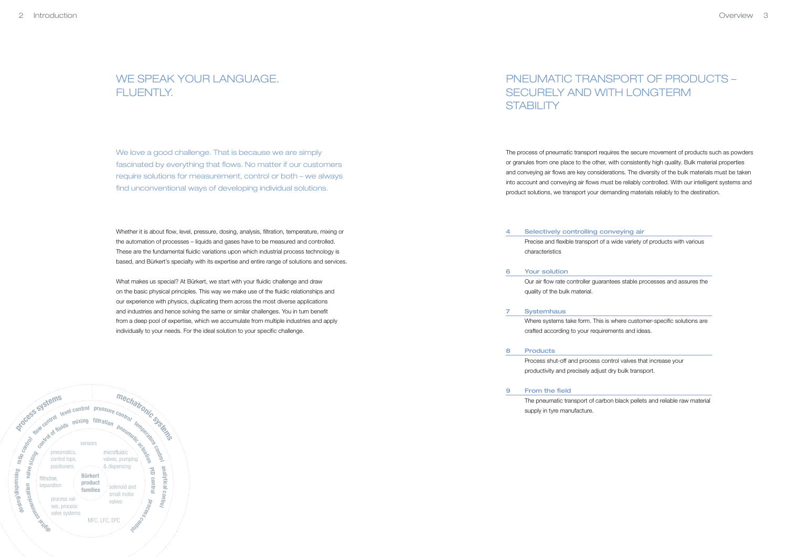## PNEUMATIC TRANSPORT OF PRODUCTS – SECURELY AND WITH LONGTERM **STABILITY**

The process of pneumatic transport requires the secure movement of products such as powders or granules from one place to the other, with consistently high quality. Bulk material properties and conveying air flows are key considerations. The diversity of the bulk materials must be taken into account and conveying air flows must be reliably controlled. With our intelligent systems and product solutions, we transport your demanding materials reliably to the destination.

The pneumatic transport of carbon black pellets and reliable raw material supply in tyre manufacture.

**Products** 8

#### **Systemhaus** 7

### WE SPEAK YOUR LANGUAGE. FLUENTLY

Precise and flexible transport of a wide variety of products with various

Process shut-off and process control valves that increase your productivity and precisely adjust dry bulk transport.

### Selectively controlling conveying air characteristics 4

Where systems take form. This is where customer-specific solutions are crafted according to your requirements and ideas.

#### From the field 9

Our air flow rate controller guarantees stable processes and assures the

Your solution 6

quality of the bulk material.



We love a good challenge. That is because we are simply fascinated by everything that flows. No matter if our customers require solutions for measurement, control or both – we always find unconventional ways of developing individual solutions.

Whether it is about flow, level, pressure, dosing, analysis, filtration, temperature, mixing or the automation of processes – liquids and gases have to be measured and controlled. These are the fundamental fluidic variations upon which industrial process technology is based, and Bürkert's specialty with its expertise and entire range of solutions and services.

What makes us special? At Bürkert, we start with your fluidic challenge and draw on the basic physical principles. This way we make use of the fluidic relationships and our experience with physics, duplicating them across the most diverse applications and industries and hence solving the same or similar challenges. You in turn benefit from a deep pool of expertise, which we accumulate from multiple industries and apply individually to your needs. For the ideal solution to your specific challenge.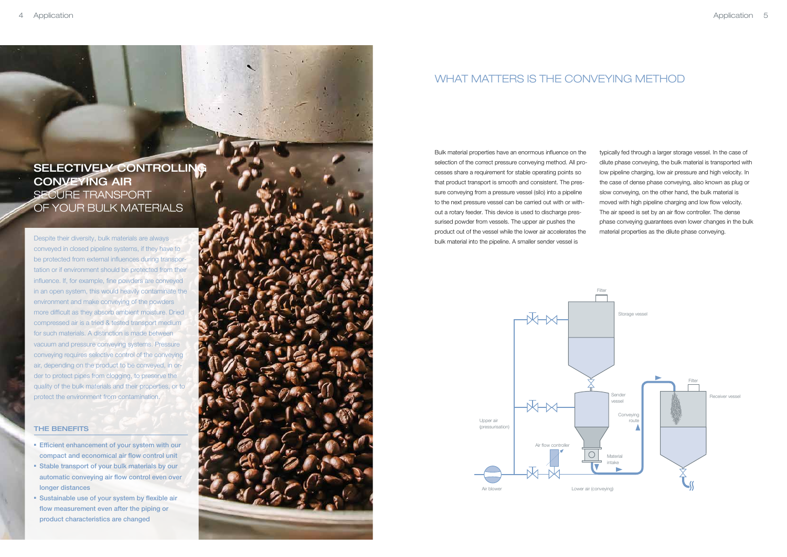### WHAT MATTERS IS THE CONVEYING METHOD

Bulk material properties have an enormous influence on the selection of the correct pressure conveying method. All processes share a requirement for stable operating points so that product transport is smooth and consistent. The pressure conveying from a pressure vessel (silo) into a pipeline to the next pressure vessel can be carried out with or without a rotary feeder. This device is used to discharge pressurised powder from vessels. The upper air pushes the product out of the vessel while the lower air accelerates the bulk material into the pipeline. A smaller sender vessel is

typically fed through a larger storage vessel. In the case of dilute phase conveying, the bulk material is transported with low pipeline charging, low air pressure and high velocity. In the case of dense phase conveying, also known as plug or slow conveying, on the other hand, the bulk material is moved with high pipeline charging and low flow velocity. The air speed is set by an air flow controller. The dense phase conveying guarantees even lower changes in the bulk material properties as the dilute phase conveying.

- **Efficient enhancement of your system with our** compact and economical air flow control unit
- Stable transport of your bulk materials by our automatic conveying air flow control even over longer distances
- Sustainable use of your system by flexible air flow measurement even after the piping or product characteristics are changed



Despite their diversity, bulk materials are always conveyed in closed pipeline systems, if they have to be protected from external influences during transportation or if environment should be protected from their influence. If, for example, fine powders are conveyed in an open system, this would heavily contaminate the environment and make conveying of the powders more difficult as they absorb ambient moisture. Dried compressed air is a tried & tested transport medium for such materials. A distinction is made between vacuum and pressure conveying systems. Pressure conveying requires selective control of the conveying air, depending on the product to be conveyed, in order to protect pipes from clogging, to preserve the quality of the bulk materials and their properties, or to protect the environment from contamination.

#### THE BENEFITS

### SELECTIVELY CONTROLLING CONVEYING AIR SECURE TRANSPORT OF YOUR BULK MATERIALS

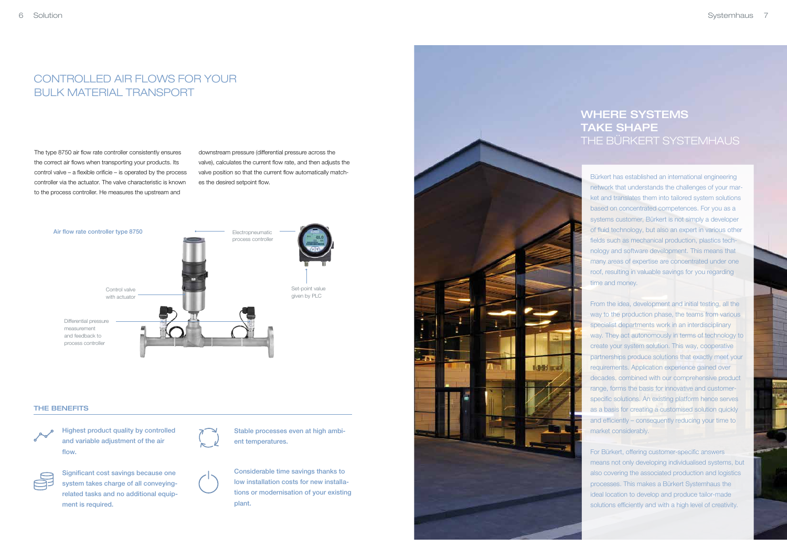## CONTROLLED AIR FLOWS FOR YOUR BULK MATERIAL TRANSPORT

The type 8750 air flow rate controller consistently ensures the correct air flows when transporting your products. Its control valve – a flexible orificie – is operated by the process controller via the actuator. The valve characteristic is known to the process controller. He measures the upstream and

downstream pressure (differential pressure across the valve), calculates the current flow rate, and then adjusts the valve position so that the current flow automatically matches the desired setpoint flow.

### WHERE SYSTEMS TAKE SHAPE THE BÜRKERT SYSTEMHAUS

Bürkert has established an international engineering network that understands the challenges of your market and translates them into tailored system solutions based on concentrated competences. For you as a systems customer, Bürkert is not simply a developer of fluid technology, but also an expert in various other fields such as mechanical production, plastics technology and software development. This means that many areas of expertise are concentrated under one roof, resulting in valuable savings for you regarding time and money.

Significant cost savings because one system takes charge of all conveyingrelated tasks and no additional equipment is required.

From the idea, development and initial testing, all the way to the production phase, the teams from various specialist departments work in an interdisciplinary way. They act autonomously in terms of technology to create your system solution. This way, cooperative partnerships produce solutions that exactly meet your requirements. Application experience gained over decades, combined with our comprehensive product range, forms the basis for innovative and customerspecific solutions. An existing platform hence serves as a basis for creating a customised solution quickly and efficiently – consequently reducing your time to market considerably.

For Bürkert, offering customer-specific answers means not only developing individualised systems, but also covering the associated production and logistics processes. This makes a Bürkert Systemhaus the ideal location to develop and produce tailor-made solutions efficiently and with a high level of creativity.

#### THE BENEFITS



Highest product quality by controlled and variable adjustment of the air flow.



Considerable time savings thanks to low installation costs for new installations or modernisation of your existing plant.



Stable processes even at high ambient temperatures.



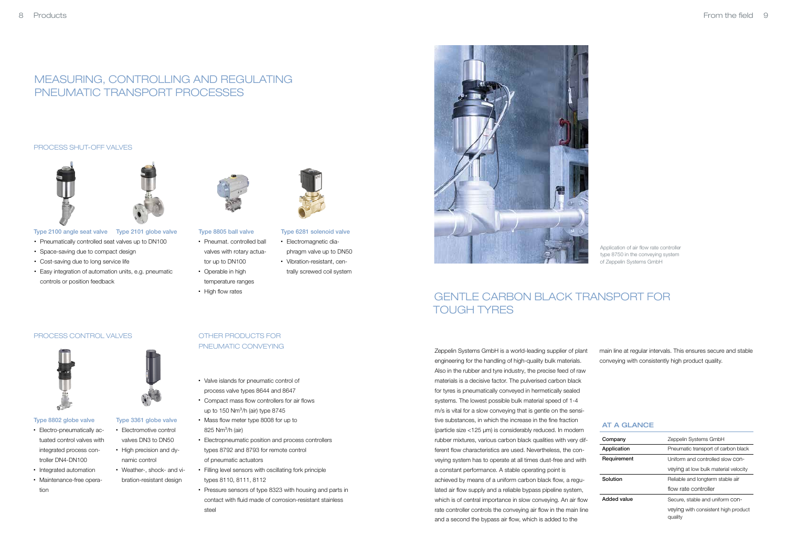### AT A GLANCE

| Company     | Zeppelin Systems GmbH                          |
|-------------|------------------------------------------------|
| Application | Pneumatic transport of carbon black            |
| Requirement | Uniform and controlled slow CON-               |
|             | veying at low bulk material velocity           |
| Solution    | Reliable and longterm stable air               |
|             | flow rate controller                           |
| Added value | Secure. stable and uniform con-                |
|             | veying with consistent high product<br>quality |

- Pneumat. controlled ball valves with rotary actuator up to DN100
- Operable in high temperature ranges
- 



- Electromagnetic diaphragm valve up to DN50
- Vibration-resistant, centrally screwed coil system
- 
- High flow rates

#### Type 2100 angle seat valve Type 2101 globe valve Type 8805 ball valve

- Pneumatically controlled seat valves up to DN100
- Space-saving due to compact design
- Cost-saving due to long service life
- Easy integration of automation units, e.g. pneumatic controls or position feedback



#### Type 6281 solenoid valve

### MEASURING, CONTROLLING AND REGULATING PNEUMATIC TRANSPORT PROCESSES

Application of air flow rate controller type 8750 in the conveying system of Zeppelin Systems GmbH

Zeppelin Systems GmbH is a world-leading supplier of plant engineering for the handling of high-quality bulk materials. Also in the rubber and tyre industry, the precise feed of raw materials is a decisive factor. The pulverised carbon black for tyres is pneumatically conveyed in hermetically sealed systems. The lowest possible bulk material speed of 1-4 m/s is vital for a slow conveying that is gentle on the sensitive substances, in which the increase in the fine fraction (particle size <125 μm) is considerably reduced. In modern rubber mixtures, various carbon black qualities with very different flow characteristics are used. Nevertheless, the conveying system has to operate at all times dust-free and with a constant performance. A stable operating point is achieved by means of a uniform carbon black flow, a regulated air flow supply and a reliable bypass pipeline system, which is of central importance in slow conveying. An air flow rate controller controls the conveying air flow in the main line and a second the bypass air flow, which is added to the

main line at regular intervals. This ensures secure and stable conveying with consistently high product quality.

### GENTLE CARBON BLACK TRANSPORT FOR TOUGH TYRES

#### PROCESS SHUT-OFF VALVES





#### Type 8802 globe valve

- Electro-pneumatically actuated control valves with integrated process controller DN4-DN100
- Integrated automation
- Maintenance-free operation



- valves DN3 to DN50
- High precision and dynamic control
- Weather-, shock- and vibration-resistant design

### OTHER PRODUCTS FOR PNEUMATIC CONVEYING

- Valve islands for pneumatic control of process valve types 8644 and 8647
- Compact mass flow controllers for air flows up to  $150$  Nm<sup>3</sup>/h (air) type  $8745$
- Mass flow meter type 8008 for up to  $825$  Nm<sup>3</sup>/h (air)
- Electropneumatic position and process controllers types 8792 and 8793 for remote control of pneumatic actuators
- Filling level sensors with oscillating fork principle types 8110, 8111, 8112
- Pressure sensors of type 8323 with housing and parts in contact with fluid made of corrosion-resistant stainless steel



### PROCESS CONTROL VALVES